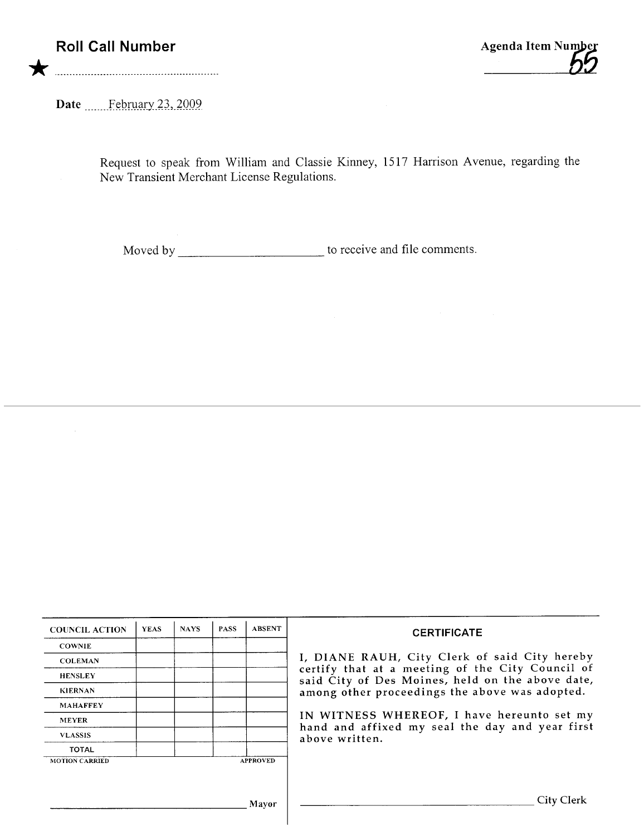Date February 23, 2009

Request to speak from William and Classie Kinney, 1517 Harrison Avenue, regarding the New Transient Merchant License Regulations.

Moved by \_\_\_\_\_\_\_\_\_\_\_\_\_\_\_\_\_\_\_\_\_\_\_\_\_\_\_\_\_\_\_ to receive and file comments.

| <b>COUNCIL ACTION</b> | <b>YEAS</b> | <b>NAYS</b> | <b>PASS</b> | <b>ABSENT</b>   | <b>CERTIFICATE</b>                                                                                                                                                                                                                                                                                                         |
|-----------------------|-------------|-------------|-------------|-----------------|----------------------------------------------------------------------------------------------------------------------------------------------------------------------------------------------------------------------------------------------------------------------------------------------------------------------------|
| <b>COWNIE</b>         |             |             |             |                 |                                                                                                                                                                                                                                                                                                                            |
| <b>COLEMAN</b>        |             |             |             |                 | I, DIANE RAUH, City Clerk of said City hereby<br>certify that at a meeting of the City Council of<br>said City of Des Moines, held on the above date,<br>among other proceedings the above was adopted.<br>IN WITNESS WHEREOF, I have hereunto set my<br>hand and affixed my seal the day and year first<br>above written. |
| <b>HENSLEY</b>        |             |             |             |                 |                                                                                                                                                                                                                                                                                                                            |
| <b>KIERNAN</b>        |             |             |             |                 |                                                                                                                                                                                                                                                                                                                            |
| <b>MAHAFFEY</b>       |             |             |             |                 |                                                                                                                                                                                                                                                                                                                            |
| <b>MEYER</b>          |             |             |             |                 |                                                                                                                                                                                                                                                                                                                            |
| <b>VLASSIS</b>        |             |             |             |                 |                                                                                                                                                                                                                                                                                                                            |
| <b>TOTAL</b>          |             |             |             |                 |                                                                                                                                                                                                                                                                                                                            |
| <b>MOTION CARRIED</b> |             |             |             | <b>APPROVED</b> |                                                                                                                                                                                                                                                                                                                            |
|                       |             |             |             |                 |                                                                                                                                                                                                                                                                                                                            |
|                       |             |             |             |                 |                                                                                                                                                                                                                                                                                                                            |
| Mayor                 |             |             |             |                 | City Clerk                                                                                                                                                                                                                                                                                                                 |